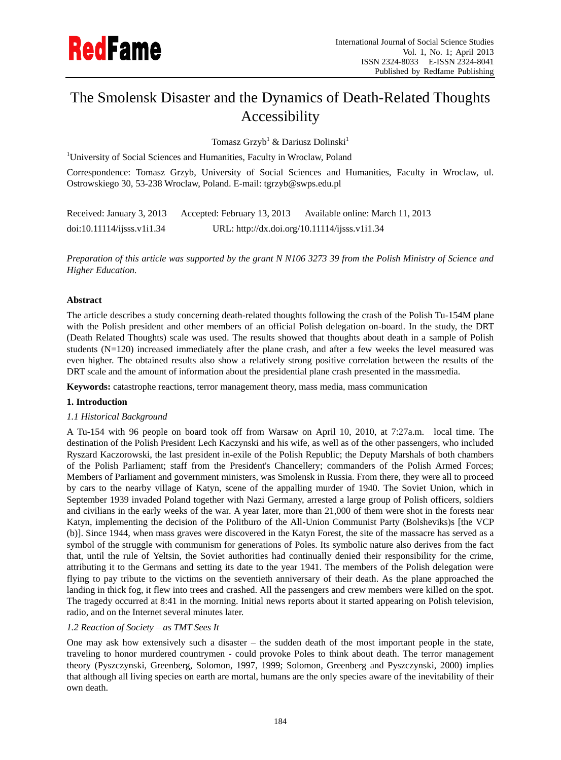# The Smolensk Disaster and the Dynamics of Death-Related Thoughts Accessibility

Tomasz Grzyb<sup>1</sup> & Dariusz Dolinski<sup>1</sup>

<sup>1</sup>University of Social Sciences and Humanities, Faculty in Wroclaw, Poland

Correspondence: Tomasz Grzyb, University of Social Sciences and Humanities, Faculty in Wroclaw, ul. Ostrowskiego 30, 53-238 Wroclaw, Poland. E-mail: tgrzyb@swps.edu.pl

| Received: January 3, 2013 | Accepted: February 13, 2013 | Available online: March 11, 2013              |
|---------------------------|-----------------------------|-----------------------------------------------|
| doi:10.11114/j5ss.v1i1.34 |                             | URL: http://dx.doi.org/10.11114/ijsss.v1i1.34 |

*Preparation of this article was supported by the grant N N106 3273 39 from the Polish Ministry of Science and Higher Education.*

# **Abstract**

The article describes a study concerning death-related thoughts following the crash of the Polish Tu-154M plane with the Polish president and other members of an official Polish delegation on-board. In the study, the DRT (Death Related Thoughts) scale was used. The results showed that thoughts about death in a sample of Polish students (N=120) increased immediately after the plane crash, and after a few weeks the level measured was even higher. The obtained results also show a relatively strong positive correlation between the results of the DRT scale and the amount of information about the presidential plane crash presented in the massmedia.

**Keywords:** catastrophe reactions, terror management theory, mass media, mass communication

## **1. Introduction**

## *1.1 Historical Background*

A Tu-154 with 96 people on board took off from Warsaw on April 10, 2010, at 7:27a.m. local time. The destination of the Polish President Lech Kaczynski and his wife, as well as of the other passengers, who included Ryszard Kaczorowski, the last president in-exile of the Polish Republic; the Deputy Marshals of both chambers of the Polish Parliament; staff from the President's Chancellery; commanders of the Polish Armed Forces; Members of Parliament and government ministers, was Smolensk in Russia. From there, they were all to proceed by cars to the nearby village of Katyn, scene of the appalling murder of 1940. The Soviet Union, which in September 1939 invaded Poland together with Nazi Germany, arrested a large group of Polish officers, soldiers and civilians in the early weeks of the war. A year later, more than 21,000 of them were shot in the forests near Katyn, implementing the decision of the Politburo of the All-Union Communist Party (Bolsheviks)s [the VCP (b)]. Since 1944, when mass graves were discovered in the Katyn Forest, the site of the massacre has served as a symbol of the struggle with communism for generations of Poles. Its symbolic nature also derives from the fact that, until the rule of Yeltsin, the Soviet authorities had continually denied their responsibility for the crime, attributing it to the Germans and setting its date to the year 1941. The members of the Polish delegation were flying to pay tribute to the victims on the seventieth anniversary of their death. As the plane approached the landing in thick fog, it flew into trees and crashed. All the passengers and crew members were killed on the spot. The tragedy occurred at 8:41 in the morning. Initial news reports about it started appearing on Polish television, radio, and on the Internet several minutes later.

# *1.2 Reaction of Society – as TMT Sees It*

One may ask how extensively such a disaster – the sudden death of the most important people in the state, traveling to honor murdered countrymen - could provoke Poles to think about death. The terror management theory (Pyszczynski, Greenberg, Solomon, 1997, 1999; Solomon, Greenberg and Pyszczynski, 2000) implies that although all living species on earth are mortal, humans are the only species aware of the inevitability of their own death.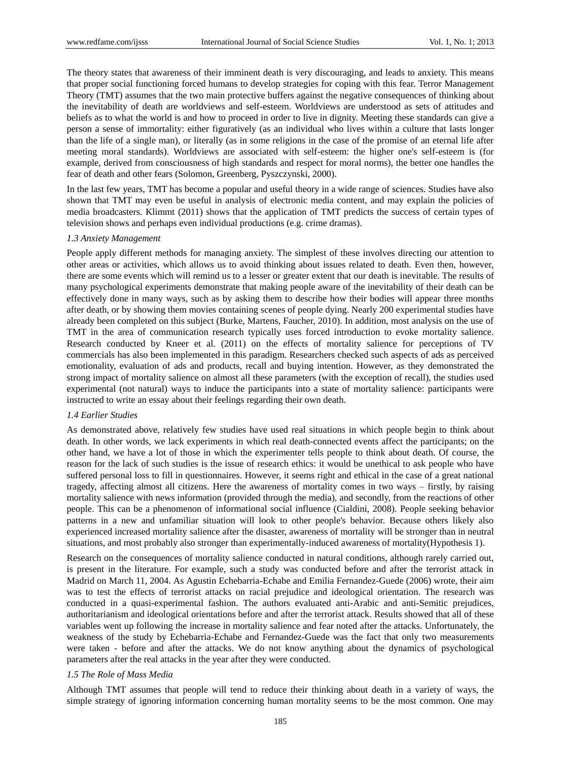The theory states that awareness of their imminent death is very discouraging, and leads to anxiety. This means that proper social functioning forced humans to develop strategies for coping with this fear. Terror Management Theory (TMT) assumes that the two main protective buffers against the negative consequences of thinking about the inevitability of death are worldviews and self-esteem. Worldviews are understood as sets of attitudes and beliefs as to what the world is and how to proceed in order to live in dignity. Meeting these standards can give a person a sense of immortality: either figuratively (as an individual who lives within a culture that lasts longer than the life of a single man), or literally (as in some religions in the case of the promise of an eternal life after meeting moral standards). Worldviews are associated with self-esteem: the higher one's self-esteem is (for example, derived from consciousness of high standards and respect for moral norms), the better one handles the fear of death and other fears (Solomon, Greenberg, Pyszczynski, 2000).

In the last few years, TMT has become a popular and useful theory in a wide range of sciences. Studies have also shown that TMT may even be useful in analysis of electronic media content, and may explain the policies of media broadcasters. Klimmt (2011) shows that the application of TMT predicts the success of certain types of television shows and perhaps even individual productions (e.g. crime dramas).

#### *1.3 Anxiety Management*

People apply different methods for managing anxiety. The simplest of these involves directing our attention to other areas or activities, which allows us to avoid thinking about issues related to death. Even then, however, there are some events which will remind us to a lesser or greater extent that our death is inevitable. The results of many psychological experiments demonstrate that making people aware of the inevitability of their death can be effectively done in many ways, such as by asking them to describe how their bodies will appear three months after death, or by showing them movies containing scenes of people dying. Nearly 200 experimental studies have already been completed on this subject (Burke, Martens, Faucher, 2010). In addition, most analysis on the use of TMT in the area of communication research typically uses forced introduction to evoke mortality salience. Research conducted by Kneer et al. (2011) on the effects of mortality salience for perceptions of TV commercials has also been implemented in this paradigm. Researchers checked such aspects of ads as perceived emotionality, evaluation of ads and products, recall and buying intention. However, as they demonstrated the strong impact of mortality salience on almost all these parameters (with the exception of recall), the studies used experimental (not natural) ways to induce the participants into a state of mortality salience: participants were instructed to write an essay about their feelings regarding their own death.

#### *1.4 Earlier Studies*

As demonstrated above, relatively few studies have used real situations in which people begin to think about death. In other words, we lack experiments in which real death-connected events affect the participants; on the other hand, we have a lot of those in which the experimenter tells people to think about death. Of course, the reason for the lack of such studies is the issue of research ethics: it would be unethical to ask people who have suffered personal loss to fill in questionnaires. However, it seems right and ethical in the case of a great national tragedy, affecting almost all citizens. Here the awareness of mortality comes in two ways – firstly, by raising mortality salience with news information (provided through the media), and secondly, from the reactions of other people. This can be a phenomenon of informational social influence (Cialdini, 2008). People seeking behavior patterns in a new and unfamiliar situation will look to other people's behavior. Because others likely also experienced increased mortality salience after the disaster, awareness of mortality will be stronger than in neutral situations, and most probably also stronger than experimentally-induced awareness of mortality(Hypothesis 1).

Research on the consequences of mortality salience conducted in natural conditions, although rarely carried out, is present in the literature. For example, such a study was conducted before and after the terrorist attack in Madrid on March 11, 2004. As Agustin Echebarria-Echabe and Emilia Fernandez-Guede (2006) wrote, their aim was to test the effects of terrorist attacks on racial prejudice and ideological orientation. The research was conducted in a quasi-experimental fashion. The authors evaluated anti-Arabic and anti-Semitic prejudices, authoritarianism and ideological orientations before and after the terrorist attack. Results showed that all of these variables went up following the increase in mortality salience and fear noted after the attacks. Unfortunately, the weakness of the study by Echebarria-Echabe and Fernandez-Guede was the fact that only two measurements were taken - before and after the attacks. We do not know anything about the dynamics of psychological parameters after the real attacks in the year after they were conducted.

#### *1.5 The Role of Mass Media*

Although TMT assumes that people will tend to reduce their thinking about death in a variety of ways, the simple strategy of ignoring information concerning human mortality seems to be the most common. One may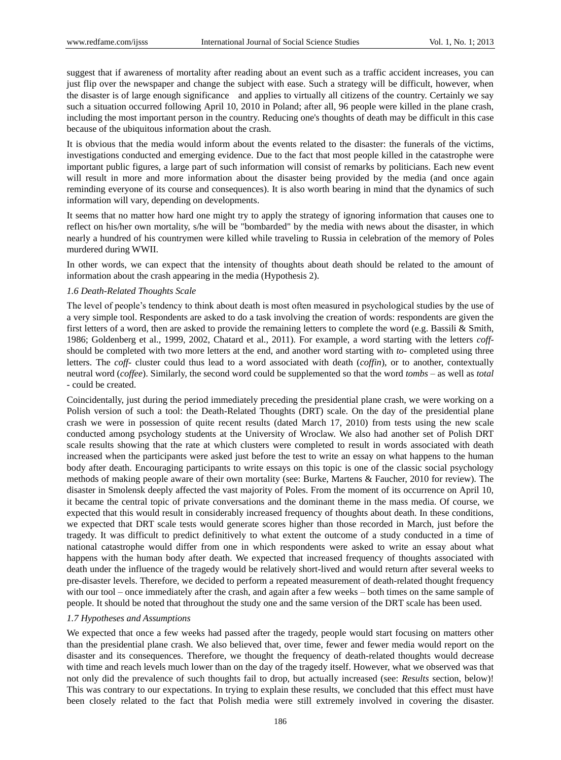suggest that if awareness of mortality after reading about an event such as a traffic accident increases, you can just flip over the newspaper and change the subject with ease. Such a strategy will be difficult, however, when the disaster is of large enough significance and applies to virtually all citizens of the country. Certainly we say such a situation occurred following April 10, 2010 in Poland; after all, 96 people were killed in the plane crash, including the most important person in the country. Reducing one's thoughts of death may be difficult in this case because of the ubiquitous information about the crash.

It is obvious that the media would inform about the events related to the disaster: the funerals of the victims, investigations conducted and emerging evidence. Due to the fact that most people killed in the catastrophe were important public figures, a large part of such information will consist of remarks by politicians. Each new event will result in more and more information about the disaster being provided by the media (and once again reminding everyone of its course and consequences). It is also worth bearing in mind that the dynamics of such information will vary, depending on developments.

It seems that no matter how hard one might try to apply the strategy of ignoring information that causes one to reflect on his/her own mortality, s/he will be "bombarded" by the media with news about the disaster, in which nearly a hundred of his countrymen were killed while traveling to Russia in celebration of the memory of Poles murdered during WWII.

In other words, we can expect that the intensity of thoughts about death should be related to the amount of information about the crash appearing in the media (Hypothesis 2).

#### *1.6 Death-Related Thoughts Scale*

The level of people"s tendency to think about death is most often measured in psychological studies by the use of a very simple tool. Respondents are asked to do a task involving the creation of words: respondents are given the first letters of a word, then are asked to provide the remaining letters to complete the word (e.g. Bassili & Smith, 1986; Goldenberg et al., 1999, 2002, Chatard et al., 2011). For example, a word starting with the letters *coff*should be completed with two more letters at the end, and another word starting with *to-* completed using three letters. The *coff-* cluster could thus lead to a word associated with death (*coffin*), or to another, contextually neutral word (*coffee*). Similarly, the second word could be supplemented so that the word *tombs* – as well as *total* - could be created.

Coincidentally, just during the period immediately preceding the presidential plane crash, we were working on a Polish version of such a tool: the Death-Related Thoughts (DRT) scale. On the day of the presidential plane crash we were in possession of quite recent results (dated March 17, 2010) from tests using the new scale conducted among psychology students at the University of Wroclaw. We also had another set of Polish DRT scale results showing that the rate at which clusters were completed to result in words associated with death increased when the participants were asked just before the test to write an essay on what happens to the human body after death. Encouraging participants to write essays on this topic is one of the classic social psychology methods of making people aware of their own mortality (see: Burke, Martens & Faucher, 2010 for review). The disaster in Smolensk deeply affected the vast majority of Poles. From the moment of its occurrence on April 10, it became the central topic of private conversations and the dominant theme in the mass media. Of course, we expected that this would result in considerably increased frequency of thoughts about death. In these conditions, we expected that DRT scale tests would generate scores higher than those recorded in March, just before the tragedy. It was difficult to predict definitively to what extent the outcome of a study conducted in a time of national catastrophe would differ from one in which respondents were asked to write an essay about what happens with the human body after death. We expected that increased frequency of thoughts associated with death under the influence of the tragedy would be relatively short-lived and would return after several weeks to pre-disaster levels. Therefore, we decided to perform a repeated measurement of death-related thought frequency with our tool – once immediately after the crash, and again after a few weeks – both times on the same sample of people. It should be noted that throughout the study one and the same version of the DRT scale has been used.

#### *1.7 Hypotheses and Assumptions*

We expected that once a few weeks had passed after the tragedy, people would start focusing on matters other than the presidential plane crash. We also believed that, over time, fewer and fewer media would report on the disaster and its consequences. Therefore, we thought the frequency of death-related thoughts would decrease with time and reach levels much lower than on the day of the tragedy itself. However, what we observed was that not only did the prevalence of such thoughts fail to drop, but actually increased (see: *Results* section, below)! This was contrary to our expectations. In trying to explain these results, we concluded that this effect must have been closely related to the fact that Polish media were still extremely involved in covering the disaster.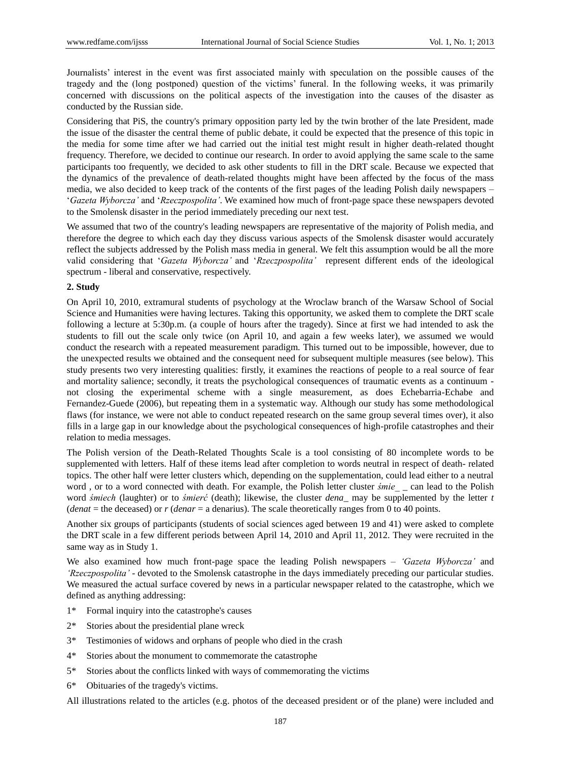Journalists" interest in the event was first associated mainly with speculation on the possible causes of the tragedy and the (long postponed) question of the victims" funeral. In the following weeks, it was primarily concerned with discussions on the political aspects of the investigation into the causes of the disaster as conducted by the Russian side.

Considering that PiS, the country's primary opposition party led by the twin brother of the late President, made the issue of the disaster the central theme of public debate, it could be expected that the presence of this topic in the media for some time after we had carried out the initial test might result in higher death-related thought frequency. Therefore, we decided to continue our research. In order to avoid applying the same scale to the same participants too frequently, we decided to ask other students to fill in the DRT scale. Because we expected that the dynamics of the prevalence of death-related thoughts might have been affected by the focus of the mass media, we also decided to keep track of the contents of the first pages of the leading Polish daily newspapers – "*Gazeta Wyborcza'* and "*Rzeczpospolita'*. We examined how much of front-page space these newspapers devoted to the Smolensk disaster in the period immediately preceding our next test.

We assumed that two of the country's leading newspapers are representative of the majority of Polish media, and therefore the degree to which each day they discuss various aspects of the Smolensk disaster would accurately reflect the subjects addressed by the Polish mass media in general. We felt this assumption would be all the more valid considering that "*Gazeta Wyborcza'* and "*Rzeczpospolita'* represent different ends of the ideological spectrum - liberal and conservative, respectively.

### **2. Study**

On April 10, 2010, extramural students of psychology at the Wroclaw branch of the Warsaw School of Social Science and Humanities were having lectures. Taking this opportunity, we asked them to complete the DRT scale following a lecture at 5:30p.m. (a couple of hours after the tragedy). Since at first we had intended to ask the students to fill out the scale only twice (on April 10, and again a few weeks later), we assumed we would conduct the research with a repeated measurement paradigm. This turned out to be impossible, however, due to the unexpected results we obtained and the consequent need for subsequent multiple measures (see below). This study presents two very interesting qualities: firstly, it examines the reactions of people to a real source of fear and mortality salience; secondly, it treats the psychological consequences of traumatic events as a continuum not closing the experimental scheme with a single measurement, as does Echebarria-Echabe and Fernandez-Guede (2006), but repeating them in a systematic way. Although our study has some methodological flaws (for instance, we were not able to conduct repeated research on the same group several times over), it also fills in a large gap in our knowledge about the psychological consequences of high-profile catastrophes and their relation to media messages.

The Polish version of the Death-Related Thoughts Scale is a tool consisting of 80 incomplete words to be supplemented with letters. Half of these items lead after completion to words neutral in respect of death- related topics. The other half were letter clusters which, depending on the supplementation, could lead either to a neutral word , or to a word connected with death. For example, the Polish letter cluster *śmie\_* \_ can lead to the Polish word *śmiech* (laughter) or to *śmierć* (death); likewise, the cluster *dena*\_ may be supplemented by the letter *t* (*denat* = the deceased) or *r* (*denar* = a denarius). The scale theoretically ranges from 0 to 40 points.

Another six groups of participants (students of social sciences aged between 19 and 41) were asked to complete the DRT scale in a few different periods between April 14, 2010 and April 11, 2012. They were recruited in the same way as in Study 1.

We also examined how much front-page space the leading Polish newspapers – *'Gazeta Wyborcza'* and *'Rzeczpospolita'* - devoted to the Smolensk catastrophe in the days immediately preceding our particular studies. We measured the actual surface covered by news in a particular newspaper related to the catastrophe, which we defined as anything addressing:

- 1\* Formal inquiry into the catastrophe's causes
- 2\* Stories about the presidential plane wreck
- 3\* Testimonies of widows and orphans of people who died in the crash
- 4\* Stories about the monument to commemorate the catastrophe
- 5\* Stories about the conflicts linked with ways of commemorating the victims
- 6\* Obituaries of the tragedy's victims.

All illustrations related to the articles (e.g. photos of the deceased president or of the plane) were included and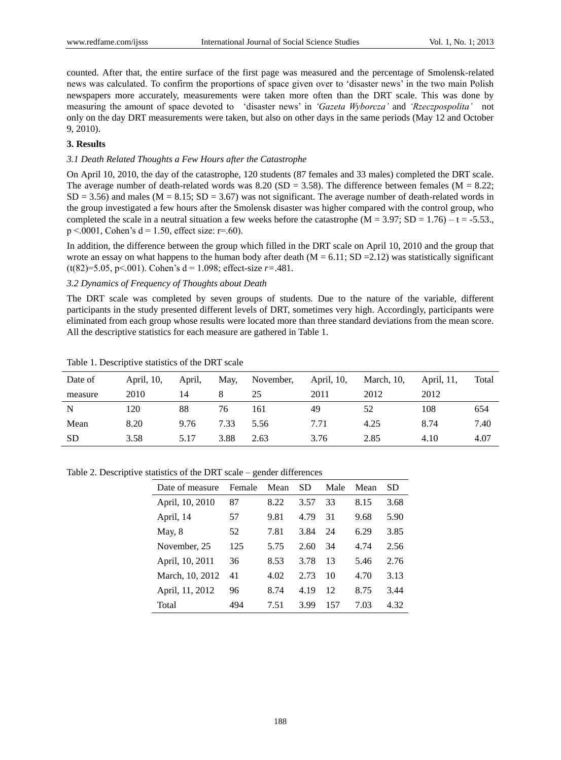counted. After that, the entire surface of the first page was measured and the percentage of Smolensk-related news was calculated. To confirm the proportions of space given over to "disaster news" in the two main Polish newspapers more accurately, measurements were taken more often than the DRT scale. This was done by measuring the amount of space devoted to "disaster news" in *'Gazeta Wyborcza'* and *'Rzeczpospolita'* not only on the day DRT measurements were taken, but also on other days in the same periods (May 12 and October 9, 2010).

#### **3. Results**

### *3.1 Death Related Thoughts a Few Hours after the Catastrophe*

On April 10, 2010, the day of the catastrophe, 120 students (87 females and 33 males) completed the DRT scale. The average number of death-related words was 8.20 (SD = 3.58). The difference between females ( $M = 8.22$ ;  $SD = 3.56$ ) and males (M = 8.15;  $SD = 3.67$ ) was not significant. The average number of death-related words in the group investigated a few hours after the Smolensk disaster was higher compared with the control group, who completed the scale in a neutral situation a few weeks before the catastrophe ( $M = 3.97$ ; SD = 1.76) – t = -5.53.  $p < .0001$ , Cohen's d = 1.50, effect size: r=.60).

In addition, the difference between the group which filled in the DRT scale on April 10, 2010 and the group that wrote an essay on what happens to the human body after death  $(M = 6.11; SD = 2.12)$  was statistically significant (t(82)=5.05, p<.001). Cohen's  $d = 1.098$ ; effect-size  $r = .481$ .

#### *3.2 Dynamics of Frequency of Thoughts about Death*

The DRT scale was completed by seven groups of students. Due to the nature of the variable, different participants in the study presented different levels of DRT, sometimes very high. Accordingly, participants were eliminated from each group whose results were located more than three standard deviations from the mean score. All the descriptive statistics for each measure are gathered in Table 1.

| Date of   | April, 10, | April, | May, | November, | April, 10, | March, 10, | April, 11, | Total |
|-----------|------------|--------|------|-----------|------------|------------|------------|-------|
| measure   | 2010       | 14     |      | 25        | 2011       | 2012       | 2012       |       |
| N         | 120        | 88     | 76   | 161       | 49         | 52         | 108        | 654   |
| Mean      | 8.20       | 9.76   | 7.33 | 5.56      | 7.71       | 4.25       | 8.74       | 7.40  |
| <b>SD</b> | 3.58       | 5.17   | 3.88 | 2.63      | 3.76       | 2.85       | 4.10       | 4.07  |

Table 1. Descriptive statistics of the DRT scale

Table 2. Descriptive statistics of the DRT scale – gender differences

| Date of measure | Female | Mean | SD   | Male | Mean | SD   |
|-----------------|--------|------|------|------|------|------|
| April, 10, 2010 | 87     | 8.22 | 3.57 | 33   | 8.15 | 3.68 |
| April, 14       | 57     | 9.81 | 4.79 | 31   | 9.68 | 5.90 |
| May, $8$        | 52     | 7.81 | 3.84 | 24   | 6.29 | 3.85 |
| November, 25    | 125    | 5.75 | 2.60 | 34   | 4.74 | 2.56 |
| April, 10, 2011 | 36     | 8.53 | 3.78 | 13   | 5.46 | 2.76 |
| March, 10, 2012 | 41     | 4.02 | 2.73 | 10   | 4.70 | 3.13 |
| April, 11, 2012 | 96     | 8.74 | 4.19 | 12   | 8.75 | 3.44 |
| Total           | 494    | 7.51 | 3.99 | 157  | 7.03 | 4.32 |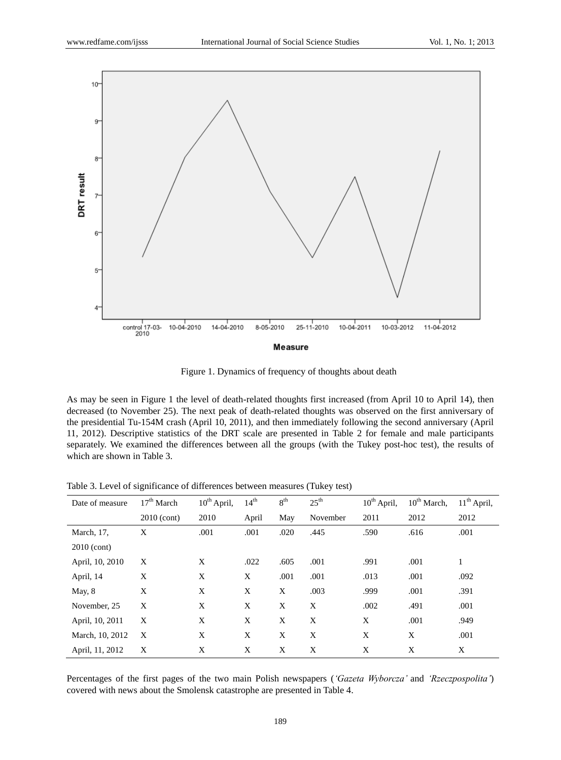

**Measure** 

Figure 1. Dynamics of frequency of thoughts about death

As may be seen in Figure 1 the level of death-related thoughts first increased (from April 10 to April 14), then decreased (to November 25). The next peak of death-related thoughts was observed on the first anniversary of the presidential Tu-154M crash (April 10, 2011), and then immediately following the second anniversary (April 11, 2012). Descriptive statistics of the DRT scale are presented in Table 2 for female and male participants separately. We examined the differences between all the groups (with the Tukey post-hoc test), the results of which are shown in Table 3.

| Date of measure | 17 <sup>th</sup> March | 10 <sup>th</sup> April, | $14^{th}$ | 8 <sup>th</sup> | $25^{\text{th}}$ | $10^{th}$ April, | $10^{th}$ March, | $11th$ April, |
|-----------------|------------------------|-------------------------|-----------|-----------------|------------------|------------------|------------------|---------------|
|                 | $2010$ (cont)          | 2010                    | April     | May             | November         | 2011             | 2012             | 2012          |
| March, 17,      | X                      | .001                    | .001      | .020            | .445             | .590             | .616             | .001          |
| $2010$ (cont)   |                        |                         |           |                 |                  |                  |                  |               |
| April, 10, 2010 | X                      | X                       | .022      | .605            | .001             | .991             | .001             | 1             |
| April, 14       | X                      | X                       | X         | .001            | .001             | .013             | .001             | .092          |
| May, $8$        | X                      | X                       | X         | X               | .003             | .999             | .001             | .391          |
| November, 25    | X                      | X                       | X         | X               | X                | .002             | .491             | .001          |
| April, 10, 2011 | X                      | X                       | X         | X               | X                | X                | .001             | .949          |
| March, 10, 2012 | X                      | X                       | X         | X               | X                | X                | X                | .001          |
| April, 11, 2012 | X                      | X                       | X         | X               | X                | X                | X                | X             |

Table 3. Level of significance of differences between measures (Tukey test)

Percentages of the first pages of the two main Polish newspapers (*'Gazeta Wyborcza'* and *'Rzeczpospolita'*) covered with news about the Smolensk catastrophe are presented in Table 4.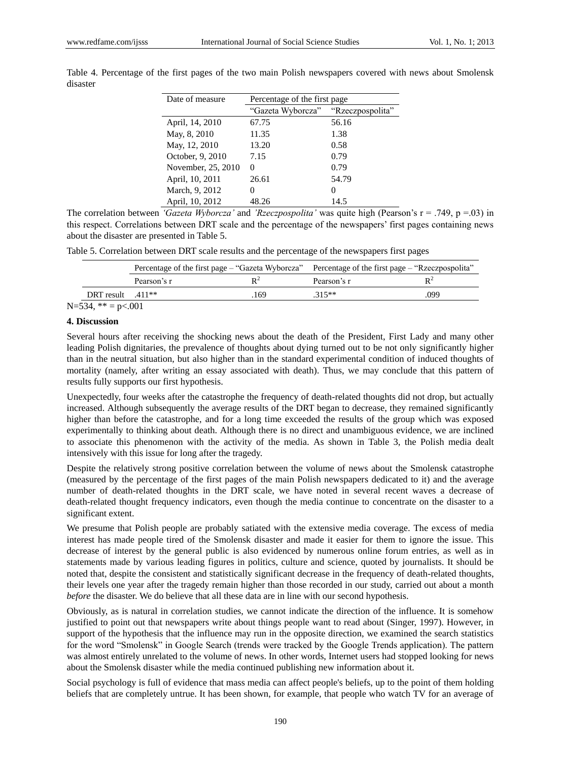| Date of measure    | Percentage of the first page       |       |  |  |  |  |
|--------------------|------------------------------------|-------|--|--|--|--|
|                    | "Gazeta Wyborcza" "Rzeczpospolita" |       |  |  |  |  |
| April, 14, 2010    | 67.75                              | 56.16 |  |  |  |  |
| May, 8, 2010       | 11.35                              | 1.38  |  |  |  |  |
| May, 12, 2010      | 13.20                              | 0.58  |  |  |  |  |
| October, 9, 2010   | 7.15                               | 0.79  |  |  |  |  |
| November, 25, 2010 | $\mathbf{0}$                       | 0.79  |  |  |  |  |
| April, 10, 2011    | 26.61                              | 54.79 |  |  |  |  |
| March, 9, 2012     | $\theta$                           | 0     |  |  |  |  |
| April, 10, 2012    | 48.26                              | 14.5  |  |  |  |  |

Table 4. Percentage of the first pages of the two main Polish newspapers covered with news about Smolensk disaster

The correlation between *'Gazeta Wyborcza'* and *'Rzeczpospolita'* was quite high (Pearson"s r = .749, p =.03) in this respect. Correlations between DRT scale and the percentage of the newspapers" first pages containing news about the disaster are presented in Table 5.

|  |  |  | Table 5. Correlation between DRT scale results and the percentage of the newspapers first pages |  |  |  |  |  |  |  |  |
|--|--|--|-------------------------------------------------------------------------------------------------|--|--|--|--|--|--|--|--|
|--|--|--|-------------------------------------------------------------------------------------------------|--|--|--|--|--|--|--|--|

|                     |             |                | Percentage of the first page – "Gazeta Wyborcza" Percentage of the first page – "Rzeczpospolita" |                |  |
|---------------------|-------------|----------------|--------------------------------------------------------------------------------------------------|----------------|--|
|                     | Pearson's r | $\mathbf{D}^2$ | Pearson's r                                                                                      | $\mathbf{p}^2$ |  |
| DRT result $.411**$ |             | .169           | $315**$                                                                                          | .099           |  |

 $N=534$ , \*\* = p<.001

### **4. Discussion**

Several hours after receiving the shocking news about the death of the President, First Lady and many other leading Polish dignitaries, the prevalence of thoughts about dying turned out to be not only significantly higher than in the neutral situation, but also higher than in the standard experimental condition of induced thoughts of mortality (namely, after writing an essay associated with death). Thus, we may conclude that this pattern of results fully supports our first hypothesis.

Unexpectedly, four weeks after the catastrophe the frequency of death-related thoughts did not drop, but actually increased. Although subsequently the average results of the DRT began to decrease, they remained significantly higher than before the catastrophe, and for a long time exceeded the results of the group which was exposed experimentally to thinking about death. Although there is no direct and unambiguous evidence, we are inclined to associate this phenomenon with the activity of the media. As shown in Table 3, the Polish media dealt intensively with this issue for long after the tragedy.

Despite the relatively strong positive correlation between the volume of news about the Smolensk catastrophe (measured by the percentage of the first pages of the main Polish newspapers dedicated to it) and the average number of death-related thoughts in the DRT scale, we have noted in several recent waves a decrease of death-related thought frequency indicators, even though the media continue to concentrate on the disaster to a significant extent.

We presume that Polish people are probably satiated with the extensive media coverage. The excess of media interest has made people tired of the Smolensk disaster and made it easier for them to ignore the issue. This decrease of interest by the general public is also evidenced by numerous online forum entries, as well as in statements made by various leading figures in politics, culture and science, quoted by journalists. It should be noted that, despite the consistent and statistically significant decrease in the frequency of death-related thoughts, their levels one year after the tragedy remain higher than those recorded in our study, carried out about a month *before* the disaster. We do believe that all these data are in line with our second hypothesis.

Obviously, as is natural in correlation studies, we cannot indicate the direction of the influence. It is somehow justified to point out that newspapers write about things people want to read about (Singer, 1997). However, in support of the hypothesis that the influence may run in the opposite direction, we examined the search statistics for the word "Smolensk" in Google Search (trends were tracked by the Google Trends application). The pattern was almost entirely unrelated to the volume of news. In other words, Internet users had stopped looking for news about the Smolensk disaster while the media continued publishing new information about it.

Social psychology is full of evidence that mass media can affect people's beliefs, up to the point of them holding beliefs that are completely untrue. It has been shown, for example, that people who watch TV for an average of